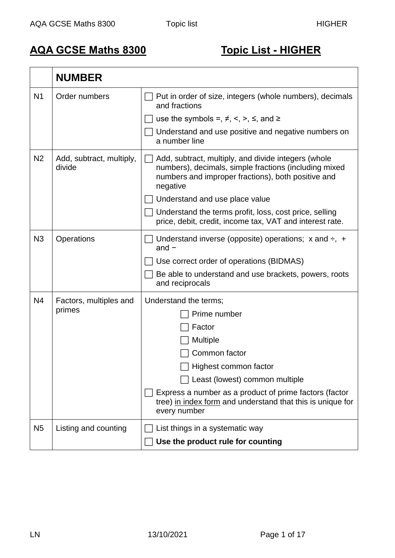## **AQA GCSE Maths 8300 Topic List - HIGHER**

|                | <b>NUMBER</b>                      |                                                                                                                                                                                |
|----------------|------------------------------------|--------------------------------------------------------------------------------------------------------------------------------------------------------------------------------|
| N <sub>1</sub> | Order numbers                      | Put in order of size, integers (whole numbers), decimals<br>and fractions                                                                                                      |
|                |                                    | use the symbols =, $\neq$ , <, >, $\leq$ , and $\geq$                                                                                                                          |
|                |                                    | Understand and use positive and negative numbers on<br>a number line                                                                                                           |
| N <sub>2</sub> | Add, subtract, multiply,<br>divide | Add, subtract, multiply, and divide integers (whole<br>numbers), decimals, simple fractions (including mixed<br>numbers and improper fractions), both positive and<br>negative |
|                |                                    | Understand and use place value                                                                                                                                                 |
|                |                                    | Understand the terms profit, loss, cost price, selling<br>price, debit, credit, income tax, VAT and interest rate.                                                             |
| N <sub>3</sub> | Operations                         | Understand inverse (opposite) operations; $x$ and $\div$ , $+$<br>and $-$                                                                                                      |
|                |                                    | Use correct order of operations (BIDMAS)                                                                                                                                       |
|                |                                    | Be able to understand and use brackets, powers, roots<br>and reciprocals                                                                                                       |
| N4             | Factors, multiples and             | Understand the terms;                                                                                                                                                          |
|                | primes                             | Prime number                                                                                                                                                                   |
|                |                                    | Factor                                                                                                                                                                         |
|                |                                    | <b>Multiple</b>                                                                                                                                                                |
|                |                                    | Common factor                                                                                                                                                                  |
|                |                                    | _∣ Highest common factor                                                                                                                                                       |
|                |                                    | Least (lowest) common multiple                                                                                                                                                 |
|                |                                    | Express a number as a product of prime factors (factor<br>tree) in index form and understand that this is unique for<br>every number                                           |
| N <sub>5</sub> | Listing and counting               | List things in a systematic way                                                                                                                                                |
|                |                                    | Use the product rule for counting                                                                                                                                              |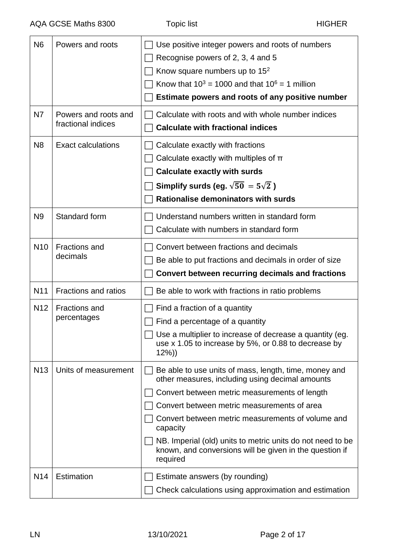| N <sub>6</sub>  | Powers and roots                           | Use positive integer powers and roots of numbers<br>Recognise powers of 2, 3, 4 and 5<br>Know square numbers up to $152$<br>Know that $10^3$ = 1000 and that $10^6$ = 1 million<br>Estimate powers and roots of any positive number                                                                                                                                                                            |
|-----------------|--------------------------------------------|----------------------------------------------------------------------------------------------------------------------------------------------------------------------------------------------------------------------------------------------------------------------------------------------------------------------------------------------------------------------------------------------------------------|
| N7              | Powers and roots and<br>fractional indices | Calculate with roots and with whole number indices<br><b>Calculate with fractional indices</b>                                                                                                                                                                                                                                                                                                                 |
| N <sub>8</sub>  | <b>Exact calculations</b>                  | Calculate exactly with fractions<br>Calculate exactly with multiples of $\pi$<br><b>Calculate exactly with surds</b><br>Simplify surds (eg. $\sqrt{50}$ = 5 $\sqrt{2}$ )<br><b>Rationalise demoninators with surds</b>                                                                                                                                                                                         |
| N <sub>9</sub>  | Standard form                              | Understand numbers written in standard form<br>Calculate with numbers in standard form                                                                                                                                                                                                                                                                                                                         |
| N <sub>10</sub> | <b>Fractions and</b><br>decimals           | Convert between fractions and decimals<br>Be able to put fractions and decimals in order of size<br><b>Convert between recurring decimals and fractions</b>                                                                                                                                                                                                                                                    |
|                 |                                            |                                                                                                                                                                                                                                                                                                                                                                                                                |
| N <sub>11</sub> | <b>Fractions and ratios</b>                | Be able to work with fractions in ratio problems                                                                                                                                                                                                                                                                                                                                                               |
| N <sub>12</sub> | <b>Fractions and</b><br>percentages        | Find a fraction of a quantity<br>Find a percentage of a quantity<br>$\Box$ Use a multiplier to increase of decrease a quantity (eg.<br>use x 1.05 to increase by 5%, or 0.88 to decrease by<br>$12\%)$                                                                                                                                                                                                         |
| N <sub>13</sub> | Units of measurement                       | Be able to use units of mass, length, time, money and<br>other measures, including using decimal amounts<br>Convert between metric measurements of length<br>Convert between metric measurements of area<br>Convert between metric measurements of volume and<br>capacity<br>NB. Imperial (old) units to metric units do not need to be<br>known, and conversions will be given in the question if<br>required |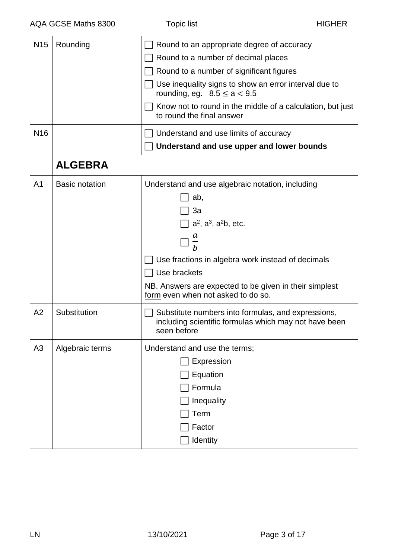| N <sub>15</sub> | Rounding              | Round to an appropriate degree of accuracy                                                                                 |
|-----------------|-----------------------|----------------------------------------------------------------------------------------------------------------------------|
|                 |                       | Round to a number of decimal places                                                                                        |
|                 |                       | Round to a number of significant figures                                                                                   |
|                 |                       | Use inequality signs to show an error interval due to<br>rounding, eq. $8.5 \le a < 9.5$                                   |
|                 |                       | Know not to round in the middle of a calculation, but just<br>to round the final answer                                    |
| N <sub>16</sub> |                       | Understand and use limits of accuracy                                                                                      |
|                 |                       | Understand and use upper and lower bounds                                                                                  |
|                 | <b>ALGEBRA</b>        |                                                                                                                            |
| A <sub>1</sub>  | <b>Basic notation</b> | Understand and use algebraic notation, including                                                                           |
|                 |                       | ab,                                                                                                                        |
|                 |                       | 3a                                                                                                                         |
|                 |                       | $\Box$ a <sup>2</sup> , a <sup>3</sup> , a <sup>2</sup> b, etc.                                                            |
|                 |                       | a                                                                                                                          |
|                 |                       | Use fractions in algebra work instead of decimals                                                                          |
|                 |                       | Use brackets                                                                                                               |
|                 |                       | NB. Answers are expected to be given in their simplest<br>form even when not asked to do so.                               |
| A2              | Substitution          | Substitute numbers into formulas, and expressions,<br>including scientific formulas which may not have been<br>seen before |
| A <sub>3</sub>  | Algebraic terms       | Understand and use the terms;                                                                                              |
|                 |                       | Expression                                                                                                                 |
|                 |                       | Equation                                                                                                                   |
|                 |                       | Formula                                                                                                                    |
|                 |                       | Inequality                                                                                                                 |
|                 |                       | Term                                                                                                                       |
|                 |                       | Factor                                                                                                                     |
|                 |                       | Identity                                                                                                                   |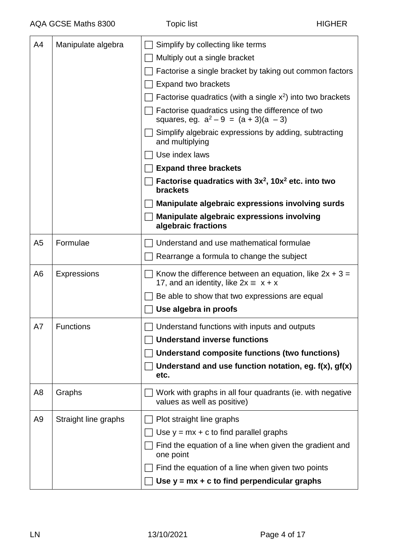| A4             | Manipulate algebra   | Simplify by collecting like terms                                                                       |
|----------------|----------------------|---------------------------------------------------------------------------------------------------------|
|                |                      | Multiply out a single bracket                                                                           |
|                |                      | Factorise a single bracket by taking out common factors                                                 |
|                |                      | <b>Expand two brackets</b>                                                                              |
|                |                      | Factorise quadratics (with a single $x^2$ ) into two brackets                                           |
|                |                      | Factorise quadratics using the difference of two<br>squares, eg. $a^2 - 9 = (a + 3)(a - 3)$             |
|                |                      | Simplify algebraic expressions by adding, subtracting<br>and multiplying                                |
|                |                      | Use index laws                                                                                          |
|                |                      | <b>Expand three brackets</b>                                                                            |
|                |                      | Factorise quadratics with $3x^2$ , 10 $x^2$ etc. into two<br><b>brackets</b>                            |
|                |                      | Manipulate algebraic expressions involving surds                                                        |
|                |                      | Manipulate algebraic expressions involving<br>algebraic fractions                                       |
| A <sub>5</sub> | Formulae             | Understand and use mathematical formulae                                                                |
|                |                      | Rearrange a formula to change the subject                                                               |
| A <sub>6</sub> | <b>Expressions</b>   | Know the difference between an equation, like $2x + 3 =$<br>17, and an identity, like $2x \equiv x + x$ |
|                |                      | Be able to show that two expressions are equal                                                          |
|                |                      | Use algebra in proofs                                                                                   |
| A7             | <b>Functions</b>     | $\Box$ Understand functions with inputs and outputs                                                     |
|                |                      | <b>Understand inverse functions</b>                                                                     |
|                |                      | Understand composite functions (two functions)                                                          |
|                |                      | Understand and use function notation, eg. $f(x)$ , $gf(x)$                                              |
|                |                      | etc.                                                                                                    |
| A8             | Graphs               | Work with graphs in all four quadrants (ie. with negative<br>values as well as positive)                |
| A9             | Straight line graphs | Plot straight line graphs                                                                               |
|                |                      | Use $y = mx + c$ to find parallel graphs                                                                |
|                |                      | Find the equation of a line when given the gradient and<br>one point                                    |
|                |                      | Find the equation of a line when given two points                                                       |
|                |                      | Use $y = mx + c$ to find perpendicular graphs                                                           |
|                |                      |                                                                                                         |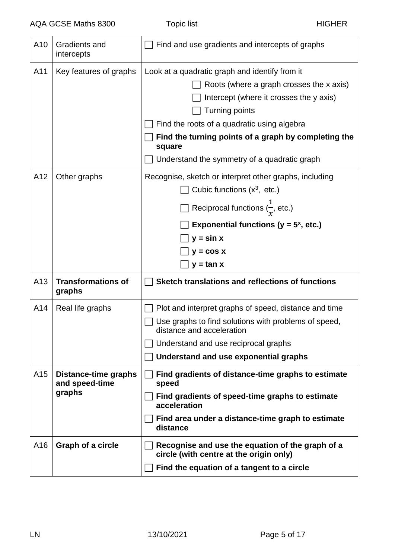| A10 | <b>Gradients and</b><br>intercepts               | Find and use gradients and intercepts of graphs                                                                                                                                                                                                                                                                                 |
|-----|--------------------------------------------------|---------------------------------------------------------------------------------------------------------------------------------------------------------------------------------------------------------------------------------------------------------------------------------------------------------------------------------|
| A11 | Key features of graphs                           | Look at a quadratic graph and identify from it<br>Roots (where a graph crosses the x axis)<br>Intercept (where it crosses the y axis)<br><b>Turning points</b><br>Find the roots of a quadratic using algebra<br>Find the turning points of a graph by completing the<br>square<br>Understand the symmetry of a quadratic graph |
| A12 | Other graphs                                     | Recognise, sketch or interpret other graphs, including<br>Cubic functions $(x^3, etc.)$<br>Reciprocal functions $(\frac{1}{r},$ etc.)<br>Exponential functions ( $y = 5^x$ , etc.)<br>$y = \sin x$<br>$y = cos x$<br>$y = tan x$                                                                                                |
| A13 | <b>Transformations of</b><br>graphs              | Sketch translations and reflections of functions                                                                                                                                                                                                                                                                                |
| A14 | Real life graphs                                 | Plot and interpret graphs of speed, distance and time<br>Use graphs to find solutions with problems of speed,<br>distance and acceleration<br>Understand and use reciprocal graphs<br>Understand and use exponential graphs                                                                                                     |
| A15 | Distance-time graphs<br>and speed-time<br>graphs | Find gradients of distance-time graphs to estimate<br>speed<br>Find gradients of speed-time graphs to estimate<br>acceleration<br>Find area under a distance-time graph to estimate<br>distance                                                                                                                                 |
| A16 | <b>Graph of a circle</b>                         | Recognise and use the equation of the graph of a<br>circle (with centre at the origin only)<br>Find the equation of a tangent to a circle                                                                                                                                                                                       |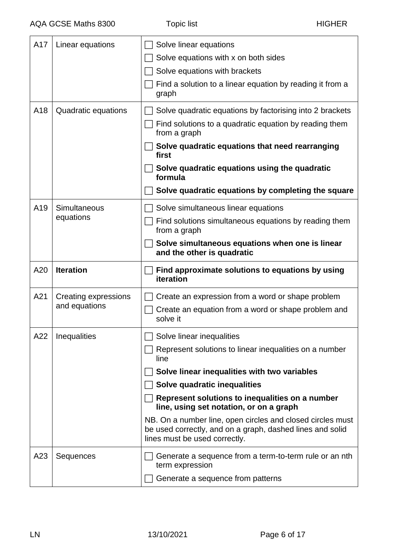| A17 |                      |                                                                                                                                                          |
|-----|----------------------|----------------------------------------------------------------------------------------------------------------------------------------------------------|
|     | Linear equations     | Solve linear equations                                                                                                                                   |
|     |                      | Solve equations with x on both sides                                                                                                                     |
|     |                      | Solve equations with brackets                                                                                                                            |
|     |                      | Find a solution to a linear equation by reading it from a<br>graph                                                                                       |
| A18 | Quadratic equations  | Solve quadratic equations by factorising into 2 brackets                                                                                                 |
|     |                      | Find solutions to a quadratic equation by reading them<br>from a graph                                                                                   |
|     |                      | Solve quadratic equations that need rearranging<br>first                                                                                                 |
|     |                      | Solve quadratic equations using the quadratic<br>formula                                                                                                 |
|     |                      | Solve quadratic equations by completing the square                                                                                                       |
| A19 | Simultaneous         | Solve simultaneous linear equations                                                                                                                      |
|     | equations            | Find solutions simultaneous equations by reading them<br>from a graph                                                                                    |
|     |                      | Solve simultaneous equations when one is linear<br>and the other is quadratic                                                                            |
| A20 | <b>Iteration</b>     | Find approximate solutions to equations by using<br>iteration                                                                                            |
|     |                      |                                                                                                                                                          |
| A21 | Creating expressions | Create an expression from a word or shape problem                                                                                                        |
|     | and equations        | Create an equation from a word or shape problem and<br>solve it                                                                                          |
| A22 | Inequalities         | Solve linear inequalities                                                                                                                                |
|     |                      | Represent solutions to linear inequalities on a number<br>line                                                                                           |
|     |                      | Solve linear inequalities with two variables                                                                                                             |
|     |                      | Solve quadratic inequalities                                                                                                                             |
|     |                      | Represent solutions to inequalities on a number<br>line, using set notation, or on a graph                                                               |
|     |                      | NB. On a number line, open circles and closed circles must<br>be used correctly, and on a graph, dashed lines and solid<br>lines must be used correctly. |
| A23 | Sequences            | Generate a sequence from a term-to-term rule or an nth<br>term expression                                                                                |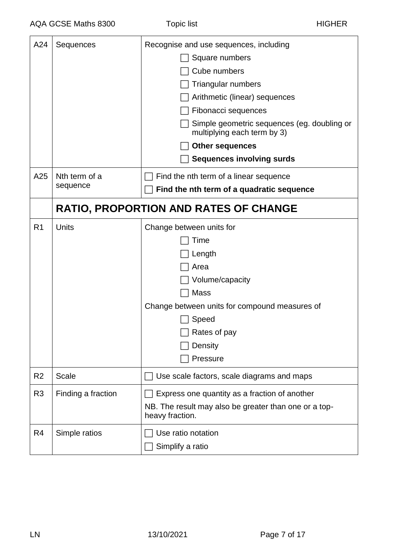| A24            | Sequences          | Recognise and use sequences, including                                     |
|----------------|--------------------|----------------------------------------------------------------------------|
|                |                    | Square numbers                                                             |
|                |                    | Cube numbers                                                               |
|                |                    | Triangular numbers                                                         |
|                |                    | Arithmetic (linear) sequences                                              |
|                |                    | Fibonacci sequences                                                        |
|                |                    | Simple geometric sequences (eg. doubling or<br>multiplying each term by 3) |
|                |                    | <b>Other sequences</b>                                                     |
|                |                    | <b>Sequences involving surds</b>                                           |
| A25            | Nth term of a      | Find the nth term of a linear sequence                                     |
|                | sequence           | Find the nth term of a quadratic sequence                                  |
|                |                    | <b>RATIO, PROPORTION AND RATES OF CHANGE</b>                               |
| R <sub>1</sub> | Units              | Change between units for                                                   |
|                |                    | Time                                                                       |
|                |                    | Length                                                                     |
|                |                    | Area                                                                       |
|                |                    | Volume/capacity                                                            |
|                |                    | Mass                                                                       |
|                |                    | Change between units for compound measures of                              |
|                |                    | Speed                                                                      |
|                |                    | Rates of pay                                                               |
|                |                    | Density                                                                    |
|                |                    | Pressure                                                                   |
| R <sub>2</sub> | <b>Scale</b>       | Use scale factors, scale diagrams and maps                                 |
| R <sub>3</sub> | Finding a fraction | Express one quantity as a fraction of another                              |
|                |                    | NB. The result may also be greater than one or a top-<br>heavy fraction.   |
| R <sub>4</sub> | Simple ratios      | Use ratio notation                                                         |
|                |                    | Simplify a ratio                                                           |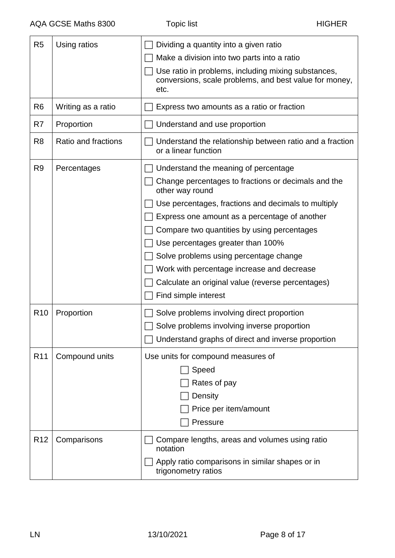| R <sub>5</sub>  | Using ratios        | Dividing a quantity into a given ratio<br>Make a division into two parts into a ratio<br>Use ratio in problems, including mixing substances,<br>conversions, scale problems, and best value for money,<br>etc.                                                                                                                                                                                                                                                                  |
|-----------------|---------------------|---------------------------------------------------------------------------------------------------------------------------------------------------------------------------------------------------------------------------------------------------------------------------------------------------------------------------------------------------------------------------------------------------------------------------------------------------------------------------------|
| R <sub>6</sub>  | Writing as a ratio  | Express two amounts as a ratio or fraction                                                                                                                                                                                                                                                                                                                                                                                                                                      |
| R7              | Proportion          | Understand and use proportion                                                                                                                                                                                                                                                                                                                                                                                                                                                   |
| R <sub>8</sub>  | Ratio and fractions | Understand the relationship between ratio and a fraction<br>or a linear function                                                                                                                                                                                                                                                                                                                                                                                                |
| R <sub>9</sub>  | Percentages         | Understand the meaning of percentage<br>Change percentages to fractions or decimals and the<br>other way round<br>Use percentages, fractions and decimals to multiply<br>Express one amount as a percentage of another<br>Compare two quantities by using percentages<br>Use percentages greater than 100%<br>Solve problems using percentage change<br>Work with percentage increase and decrease<br>Calculate an original value (reverse percentages)<br>Find simple interest |
| R <sub>10</sub> | Proportion          | Solve problems involving direct proportion<br>Solve problems involving inverse proportion<br>Understand graphs of direct and inverse proportion                                                                                                                                                                                                                                                                                                                                 |
| R <sub>11</sub> | Compound units      | Use units for compound measures of<br>Speed<br>Rates of pay<br>Density<br>Price per item/amount<br>Pressure                                                                                                                                                                                                                                                                                                                                                                     |
| R <sub>12</sub> | Comparisons         | Compare lengths, areas and volumes using ratio<br>notation<br>Apply ratio comparisons in similar shapes or in<br>trigonometry ratios                                                                                                                                                                                                                                                                                                                                            |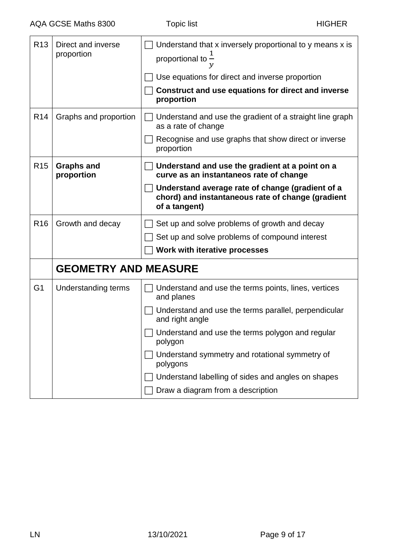| R <sub>13</sub> | Direct and inverse<br>proportion | Understand that x inversely proportional to y means x is<br>proportional to $\tilde{-}$                                |
|-----------------|----------------------------------|------------------------------------------------------------------------------------------------------------------------|
|                 |                                  | Use equations for direct and inverse proportion                                                                        |
|                 |                                  | Construct and use equations for direct and inverse<br>proportion                                                       |
| R <sub>14</sub> | Graphs and proportion            | Understand and use the gradient of a straight line graph<br>as a rate of change                                        |
|                 |                                  | Recognise and use graphs that show direct or inverse<br>proportion                                                     |
| R <sub>15</sub> | <b>Graphs and</b><br>proportion  | Understand and use the gradient at a point on a<br>curve as an instantaneos rate of change                             |
|                 |                                  | Understand average rate of change (gradient of a<br>chord) and instantaneous rate of change (gradient<br>of a tangent) |
| R <sub>16</sub> | Growth and decay                 | Set up and solve problems of growth and decay                                                                          |
|                 |                                  | Set up and solve problems of compound interest                                                                         |
|                 |                                  | Work with iterative processes                                                                                          |
|                 | <b>GEOMETRY AND MEASURE</b>      |                                                                                                                        |
| G <sub>1</sub>  | Understanding terms              | Understand and use the terms points, lines, vertices<br>and planes                                                     |
|                 |                                  | Understand and use the terms parallel, perpendicular<br>and right angle                                                |
|                 |                                  | $\Box$ Understand and use the terms polygon and regular<br>polygon                                                     |
|                 |                                  | Understand symmetry and rotational symmetry of<br>polygons                                                             |
|                 |                                  | Understand labelling of sides and angles on shapes                                                                     |
|                 |                                  | Draw a diagram from a description                                                                                      |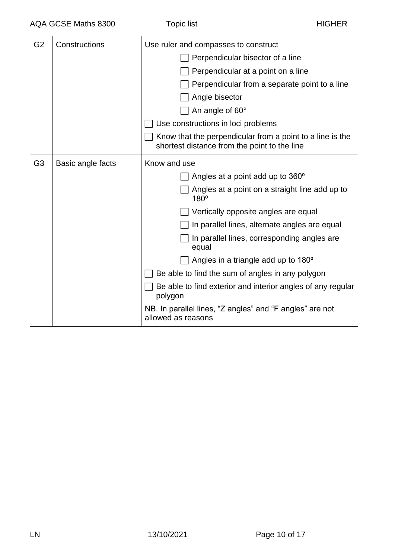| G <sub>2</sub> | Constructions     | Use ruler and compasses to construct                                                                      |
|----------------|-------------------|-----------------------------------------------------------------------------------------------------------|
|                |                   | Perpendicular bisector of a line                                                                          |
|                |                   | Perpendicular at a point on a line                                                                        |
|                |                   | Perpendicular from a separate point to a line                                                             |
|                |                   | Angle bisector                                                                                            |
|                |                   | An angle of 60°                                                                                           |
|                |                   | Use constructions in loci problems                                                                        |
|                |                   | Know that the perpendicular from a point to a line is the<br>shortest distance from the point to the line |
| G <sub>3</sub> | Basic angle facts | Know and use                                                                                              |
|                |                   | Angles at a point add up to 360°                                                                          |
|                |                   | Angles at a point on a straight line add up to<br>$180^\circ$                                             |
|                |                   | Vertically opposite angles are equal                                                                      |
|                |                   | In parallel lines, alternate angles are equal                                                             |
|                |                   | In parallel lines, corresponding angles are<br>equal                                                      |
|                |                   | Angles in a triangle add up to 180 <sup>o</sup>                                                           |
|                |                   | Be able to find the sum of angles in any polygon                                                          |
|                |                   | Be able to find exterior and interior angles of any regular<br>polygon                                    |
|                |                   | NB. In parallel lines, "Z angles" and "F angles" are not<br>allowed as reasons                            |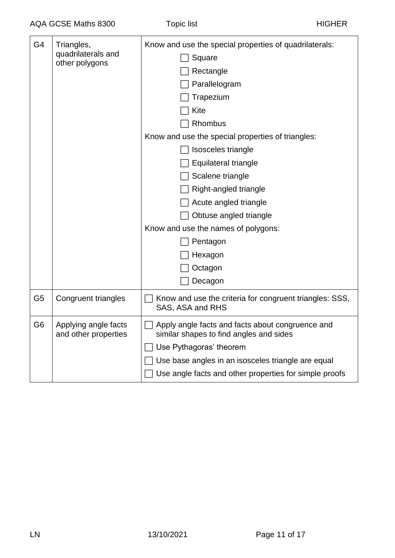| G4             | Triangles,<br>quadrilaterals and<br>other polygons | Know and use the special properties of quadrilaterals:<br>Square<br>Rectangle<br>Parallelogram<br>Trapezium<br>Kite<br>Rhombus<br>Know and use the special properties of triangles:<br>Isosceles triangle<br>Equilateral triangle<br>Scalene triangle<br>Right-angled triangle<br>Acute angled triangle<br>Obtuse angled triangle<br>Know and use the names of polygons:<br>Pentagon<br>Hexagon<br>Octagon<br>Decagon |
|----------------|----------------------------------------------------|-----------------------------------------------------------------------------------------------------------------------------------------------------------------------------------------------------------------------------------------------------------------------------------------------------------------------------------------------------------------------------------------------------------------------|
| G <sub>5</sub> | Congruent triangles                                | Know and use the criteria for congruent triangles: SSS,<br>SAS, ASA and RHS                                                                                                                                                                                                                                                                                                                                           |
| G <sub>6</sub> | Applying angle facts<br>and other properties       | Apply angle facts and facts about congruence and<br>similar shapes to find angles and sides<br>Use Pythagoras' theorem<br>Use base angles in an isosceles triangle are equal<br>Use angle facts and other properties for simple proofs                                                                                                                                                                                |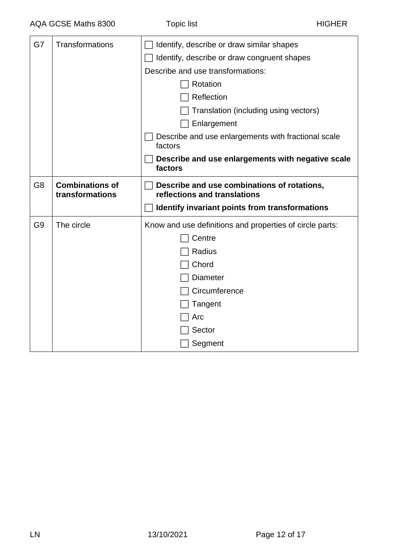| G7             | <b>Transformations</b>                    | Identify, describe or draw similar shapes                                   |
|----------------|-------------------------------------------|-----------------------------------------------------------------------------|
|                |                                           | Identify, describe or draw congruent shapes                                 |
|                |                                           | Describe and use transformations:                                           |
|                |                                           | Rotation                                                                    |
|                |                                           | Reflection                                                                  |
|                |                                           | Translation (including using vectors)                                       |
|                |                                           | Enlargement                                                                 |
|                |                                           | Describe and use enlargements with fractional scale<br>factors              |
|                |                                           | Describe and use enlargements with negative scale<br>factors                |
| G <sub>8</sub> | <b>Combinations of</b><br>transformations | Describe and use combinations of rotations,<br>reflections and translations |
|                |                                           | Identify invariant points from transformations                              |
| G <sub>9</sub> | The circle                                | Know and use definitions and properties of circle parts:                    |
|                |                                           | Centre                                                                      |
|                |                                           | Radius                                                                      |
|                |                                           | Chord                                                                       |
|                |                                           | <b>Diameter</b>                                                             |
|                |                                           | Circumference                                                               |
|                |                                           | Tangent                                                                     |
|                |                                           | Arc                                                                         |
|                |                                           | Sector                                                                      |
|                |                                           | Segment                                                                     |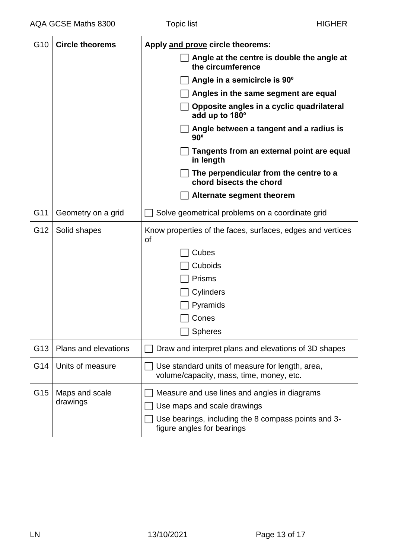| G <sub>10</sub> | <b>Circle theorems</b>     | Apply and prove circle theorems:                                                            |
|-----------------|----------------------------|---------------------------------------------------------------------------------------------|
|                 |                            | Angle at the centre is double the angle at<br>the circumference                             |
|                 |                            | Angle in a semicircle is 90°                                                                |
|                 |                            | Angles in the same segment are equal                                                        |
|                 |                            | Opposite angles in a cyclic quadrilateral<br>add up to 180°                                 |
|                 |                            | Angle between a tangent and a radius is<br>$90^\circ$                                       |
|                 |                            | Tangents from an external point are equal<br>in length                                      |
|                 |                            | The perpendicular from the centre to a<br>chord bisects the chord                           |
|                 |                            | Alternate segment theorem                                                                   |
| G11             | Geometry on a grid         | Solve geometrical problems on a coordinate grid                                             |
| G12             | Solid shapes               | Know properties of the faces, surfaces, edges and vertices<br><b>of</b>                     |
|                 |                            | Cubes                                                                                       |
|                 |                            | Cuboids                                                                                     |
|                 |                            | <b>Prisms</b>                                                                               |
|                 |                            | Cylinders                                                                                   |
|                 |                            | Pyramids                                                                                    |
|                 |                            | Cones                                                                                       |
|                 |                            | $\Box$ Spheres                                                                              |
| G13             | Plans and elevations       | Draw and interpret plans and elevations of 3D shapes                                        |
| G14             | Units of measure           | Use standard units of measure for length, area,<br>volume/capacity, mass, time, money, etc. |
| G15             | Maps and scale<br>drawings | Measure and use lines and angles in diagrams                                                |
|                 |                            | Use maps and scale drawings                                                                 |
|                 |                            | Use bearings, including the 8 compass points and 3-<br>figure angles for bearings           |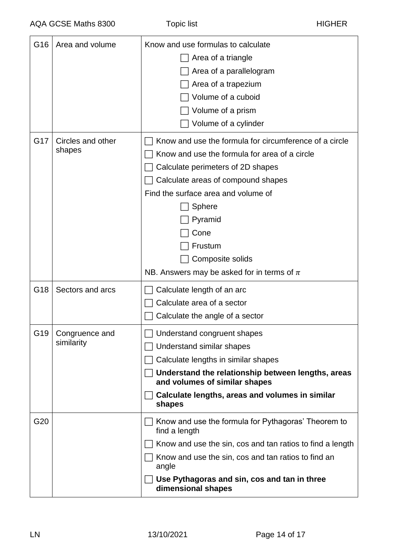| G16 | Area and volume             | Know and use formulas to calculate                                                  |
|-----|-----------------------------|-------------------------------------------------------------------------------------|
|     |                             | Area of a triangle                                                                  |
|     |                             | Area of a parallelogram                                                             |
|     |                             | Area of a trapezium                                                                 |
|     |                             | Volume of a cuboid                                                                  |
|     |                             | Volume of a prism                                                                   |
|     |                             | Volume of a cylinder                                                                |
| G17 | Circles and other<br>shapes | Know and use the formula for circumference of a circle                              |
|     |                             | Know and use the formula for area of a circle                                       |
|     |                             | Calculate perimeters of 2D shapes                                                   |
|     |                             | Calculate areas of compound shapes                                                  |
|     |                             | Find the surface area and volume of                                                 |
|     |                             | Sphere                                                                              |
|     |                             | Pyramid                                                                             |
|     |                             | Cone                                                                                |
|     |                             | Frustum                                                                             |
|     |                             | Composite solids                                                                    |
|     |                             | NB. Answers may be asked for in terms of $\pi$                                      |
| G18 | Sectors and arcs            | Calculate length of an arc                                                          |
|     |                             | Calculate area of a sector                                                          |
|     |                             | Calculate the angle of a sector                                                     |
| G19 | Congruence and              | Understand congruent shapes                                                         |
|     | similarity                  | Understand similar shapes                                                           |
|     |                             | Calculate lengths in similar shapes                                                 |
|     |                             | Understand the relationship between lengths, areas<br>and volumes of similar shapes |
|     |                             | Calculate lengths, areas and volumes in similar                                     |
|     |                             | shapes                                                                              |
| G20 |                             | Know and use the formula for Pythagoras' Theorem to<br>find a length                |
|     |                             | Know and use the sin, cos and tan ratios to find a length                           |
|     |                             | Know and use the sin, cos and tan ratios to find an<br>angle                        |
|     |                             | Use Pythagoras and sin, cos and tan in three<br>dimensional shapes                  |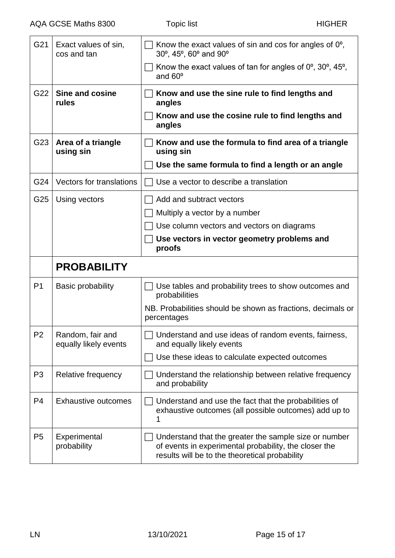| G21            | Exact values of sin,<br>cos and tan       | Know the exact values of sin and cos for angles of $0^{\circ}$ ,<br>30°, 45°, 60° and 90°                                                                        |
|----------------|-------------------------------------------|------------------------------------------------------------------------------------------------------------------------------------------------------------------|
|                |                                           | Know the exact values of tan for angles of $0^\circ$ , $30^\circ$ , $45^\circ$ ,<br>and $60^\circ$                                                               |
| G22            | Sine and cosine<br>rules                  | Know and use the sine rule to find lengths and<br>angles                                                                                                         |
|                |                                           | Know and use the cosine rule to find lengths and<br>angles                                                                                                       |
| G23            | Area of a triangle<br>using sin           | Know and use the formula to find area of a triangle<br>using sin                                                                                                 |
|                |                                           | Use the same formula to find a length or an angle                                                                                                                |
| G24            | Vectors for translations                  | Use a vector to describe a translation                                                                                                                           |
| G25            | Using vectors                             | Add and subtract vectors                                                                                                                                         |
|                |                                           | Multiply a vector by a number                                                                                                                                    |
|                |                                           | Use column vectors and vectors on diagrams                                                                                                                       |
|                |                                           | Use vectors in vector geometry problems and<br>proofs                                                                                                            |
|                | <b>PROBABILITY</b>                        |                                                                                                                                                                  |
| P <sub>1</sub> | <b>Basic probability</b>                  | Use tables and probability trees to show outcomes and<br>probabilities                                                                                           |
|                |                                           | NB. Probabilities should be shown as fractions, decimals or<br>percentages                                                                                       |
| P <sub>2</sub> | Random, fair and<br>equally likely events | Understand and use ideas of random events, fairness,<br>and equally likely events                                                                                |
|                |                                           | Use these ideas to calculate expected outcomes                                                                                                                   |
| P <sub>3</sub> | Relative frequency                        | Understand the relationship between relative frequency<br>and probability                                                                                        |
| P4             | <b>Exhaustive outcomes</b>                | Understand and use the fact that the probabilities of<br>exhaustive outcomes (all possible outcomes) add up to<br>1                                              |
| P <sub>5</sub> | Experimental<br>probability               | Understand that the greater the sample size or number<br>of events in experimental probability, the closer the<br>results will be to the theoretical probability |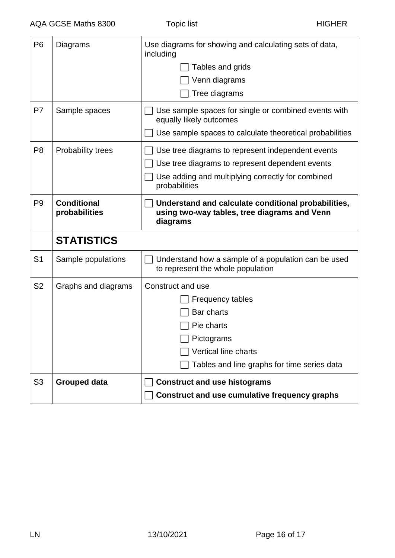| P <sub>6</sub> | Diagrams                            | Use diagrams for showing and calculating sets of data,<br>including<br>Tables and grids<br>Venn diagrams<br>Tree diagrams                                                  |
|----------------|-------------------------------------|----------------------------------------------------------------------------------------------------------------------------------------------------------------------------|
| P7             | Sample spaces                       | Use sample spaces for single or combined events with<br>equally likely outcomes<br>Use sample spaces to calculate theoretical probabilities                                |
| P <sub>8</sub> | <b>Probability trees</b>            | Use tree diagrams to represent independent events<br>Use tree diagrams to represent dependent events<br>Use adding and multiplying correctly for combined<br>probabilities |
| P <sub>9</sub> | <b>Conditional</b><br>probabilities | Understand and calculate conditional probabilities,<br>using two-way tables, tree diagrams and Venn<br>diagrams                                                            |
|                | <b>STATISTICS</b>                   |                                                                                                                                                                            |
| S <sub>1</sub> | Sample populations                  | Understand how a sample of a population can be used<br>to represent the whole population                                                                                   |
| S <sub>2</sub> | Graphs and diagrams                 | Construct and use<br><b>Frequency tables</b><br>Bar charts<br>Pie charts<br>Pictograms<br><b>Vertical line charts</b><br>Tables and line graphs for time series data       |
| S <sub>3</sub> | <b>Grouped data</b>                 | <b>Construct and use histograms</b><br><b>Construct and use cumulative frequency graphs</b>                                                                                |